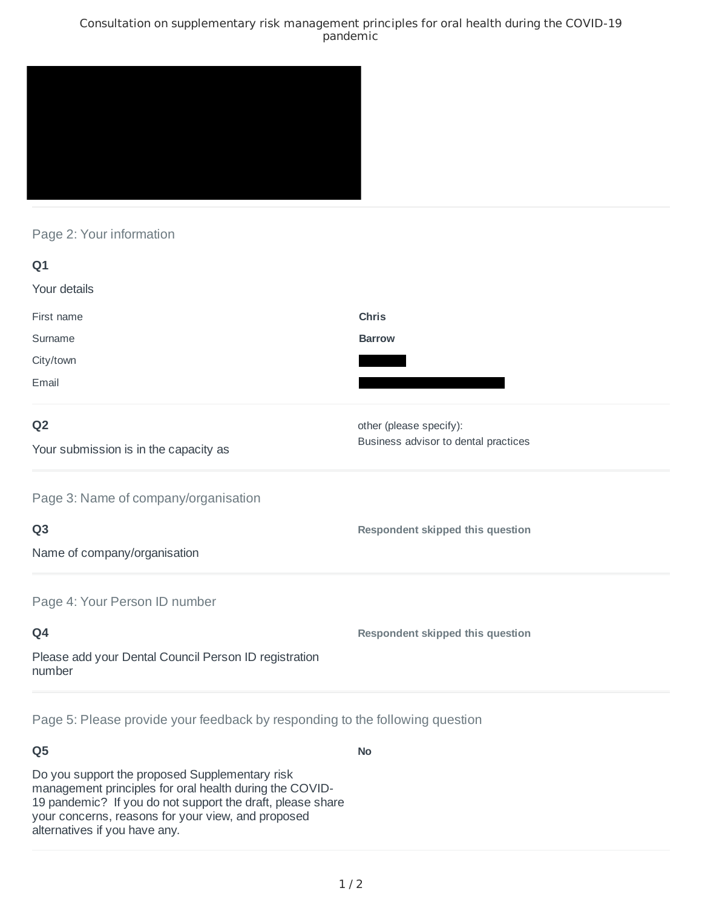### Consultation on supplementary risk management principles for oral health during the COVID-19 pandemic



## Page 2: Your information

| Q1                                                              |                                      |
|-----------------------------------------------------------------|--------------------------------------|
| Your details                                                    |                                      |
| First name                                                      | <b>Chris</b>                         |
| Surname                                                         | <b>Barrow</b>                        |
| City/town                                                       |                                      |
| Email                                                           |                                      |
| Q <sub>2</sub>                                                  | other (please specify):              |
| Your submission is in the capacity as                           | Business advisor to dental practices |
| Page 3: Name of company/organisation                            |                                      |
| Q <sub>3</sub>                                                  | Respondent skipped this question     |
| Name of company/organisation                                    |                                      |
| Page 4: Your Person ID number                                   |                                      |
| Q4                                                              | Respondent skipped this question     |
| Please add your Dental Council Person ID registration<br>number |                                      |
|                                                                 |                                      |

Page 5: Please provide your feedback by responding to the following question

# **Q5**

Do you support the proposed Supplementary risk management principles for oral health during the COVID-19 pandemic? If you do not support the draft, please share your concerns, reasons for your view, and proposed alternatives if you have any.

**No**